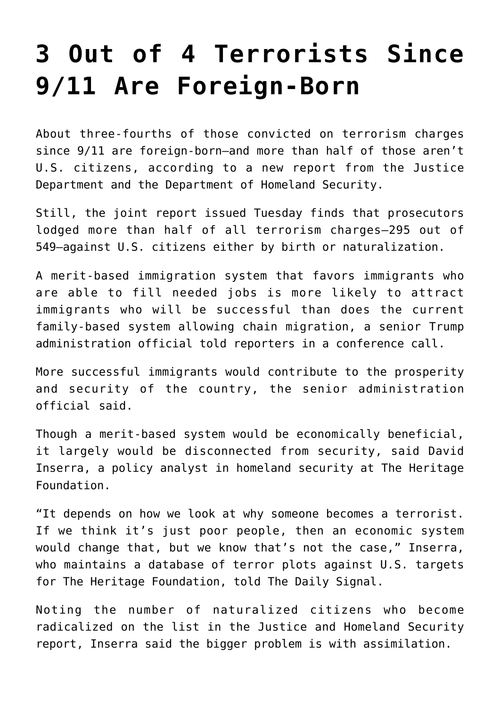## **[3 Out of 4 Terrorists Since](https://intellectualtakeout.org/2018/01/3-out-of-4-terrorists-since-9-11-are-foreign-born/) [9/11 Are Foreign-Born](https://intellectualtakeout.org/2018/01/3-out-of-4-terrorists-since-9-11-are-foreign-born/)**

About three-fourths of those convicted on terrorism charges since 9/11 are foreign-born—and more than half of those aren't U.S. citizens, according to a new report from the Justice Department and the Department of Homeland Security.

Still, the joint report issued Tuesday finds that prosecutors lodged more than half of all terrorism charges—295 out of 549—against U.S. citizens either by birth or naturalization.

A merit-based immigration system that favors immigrants who are able to fill needed jobs is more likely to attract immigrants who will be successful than does the current family-based system allowing chain migration, a senior Trump administration official told reporters in a conference call.

More successful immigrants would contribute to the prosperity and security of the country, the senior administration official said.

Though a merit-based system would be economically beneficial, it largely would be disconnected from security, said David Inserra, a policy analyst in homeland security at The Heritage Foundation.

"It depends on how we look at why someone becomes a terrorist. If we think it's just poor people, then an economic system would change that, but we know that's not the case," Inserra, who maintains a database of terror plots against U.S. targets for The Heritage Foundation, told The Daily Signal.

Noting the number of naturalized citizens who become radicalized on the list in the Justice and Homeland Security report, Inserra said the bigger problem is with assimilation.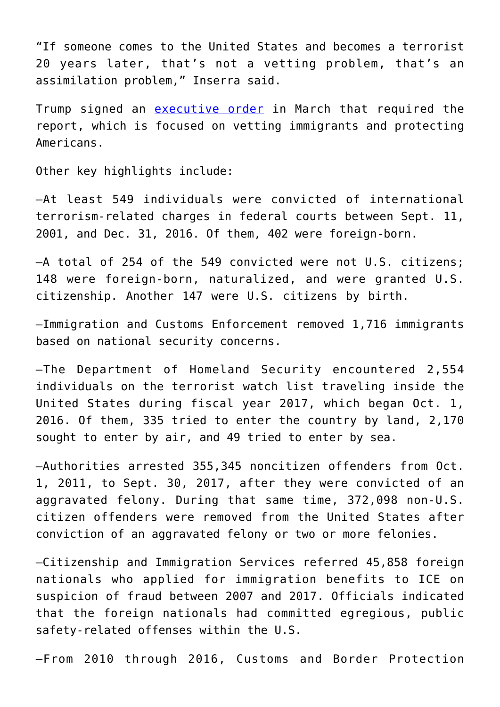"If someone comes to the United States and becomes a terrorist 20 years later, that's not a vetting problem, that's an assimilation problem," Inserra said.

Trump signed an [executive order](https://www.whitehouse.gov/presidential-actions/executive-order-protecting-nation-foreign-terrorist-entry-united-states-2/) in March that required the report, which is focused on vetting immigrants and protecting Americans.

Other key highlights include:

—At least 549 individuals were convicted of international terrorism-related charges in federal courts between Sept. 11, 2001, and Dec. 31, 2016. Of them, 402 were foreign-born.

—A total of 254 of the 549 convicted were not U.S. citizens; 148 were foreign-born, naturalized, and were granted U.S. citizenship. Another 147 were U.S. citizens by birth.

—Immigration and Customs Enforcement removed 1,716 immigrants based on national security concerns.

—The Department of Homeland Security encountered 2,554 individuals on the terrorist watch list traveling inside the United States during fiscal year 2017, which began Oct. 1, 2016. Of them, 335 tried to enter the country by land, 2,170 sought to enter by air, and 49 tried to enter by sea.

—Authorities arrested 355,345 noncitizen offenders from Oct. 1, 2011, to Sept. 30, 2017, after they were convicted of an aggravated felony. During that same time, 372,098 non-U.S. citizen offenders were removed from the United States after conviction of an aggravated felony or two or more felonies.

—Citizenship and Immigration Services referred 45,858 foreign nationals who applied for immigration benefits to ICE on suspicion of fraud between 2007 and 2017. Officials indicated that the foreign nationals had committed egregious, public safety-related offenses within the U.S.

—From 2010 through 2016, Customs and Border Protection